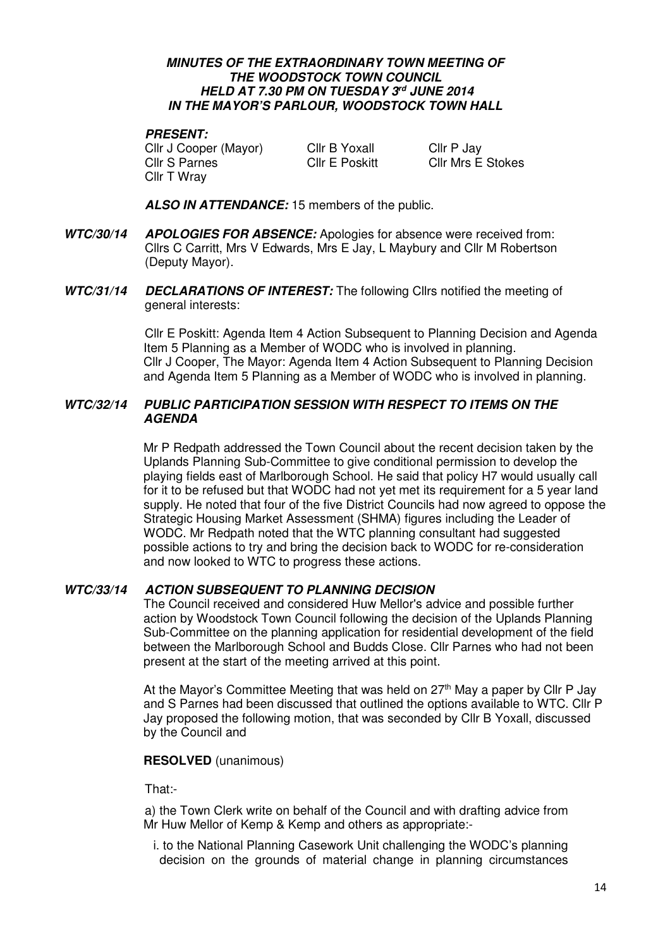### **MINUTES OF THE EXTRAORDINARY TOWN MEETING OF THE WOODSTOCK TOWN COUNCIL HELD AT 7.30 PM ON TUESDAY 3rd JUNE 2014 IN THE MAYOR'S PARLOUR, WOODSTOCK TOWN HALL**

### **PRESENT:**

Cllr J Cooper (Mayor) Cllr B Yoxall Cllr P Jay Cllr S Parnes Cllr E Poskitt Cllr Mrs E Stokes Cllr T Wray

 **ALSO IN ATTENDANCE:** 15 members of the public.

- **WTC/30/14 APOLOGIES FOR ABSENCE:** Apologies for absence were received from: Cllrs C Carritt, Mrs V Edwards, Mrs E Jay, L Maybury and Cllr M Robertson (Deputy Mayor).
- **WTC/31/14 DECLARATIONS OF INTEREST:** The following Cllrs notified the meeting of general interests:

Cllr E Poskitt: Agenda Item 4 Action Subsequent to Planning Decision and Agenda Item 5 Planning as a Member of WODC who is involved in planning. Cllr J Cooper, The Mayor: Agenda Item 4 Action Subsequent to Planning Decision and Agenda Item 5 Planning as a Member of WODC who is involved in planning.

# **WTC/32/14 PUBLIC PARTICIPATION SESSION WITH RESPECT TO ITEMS ON THE AGENDA**

Mr P Redpath addressed the Town Council about the recent decision taken by the Uplands Planning Sub-Committee to give conditional permission to develop the playing fields east of Marlborough School. He said that policy H7 would usually call for it to be refused but that WODC had not yet met its requirement for a 5 year land supply. He noted that four of the five District Councils had now agreed to oppose the Strategic Housing Market Assessment (SHMA) figures including the Leader of WODC. Mr Redpath noted that the WTC planning consultant had suggested possible actions to try and bring the decision back to WODC for re-consideration and now looked to WTC to progress these actions.

# **WTC/33/14 ACTION SUBSEQUENT TO PLANNING DECISION**

The Council received and considered Huw Mellor's advice and possible further action by Woodstock Town Council following the decision of the Uplands Planning Sub-Committee on the planning application for residential development of the field between the Marlborough School and Budds Close. Cllr Parnes who had not been present at the start of the meeting arrived at this point.

At the Mayor's Committee Meeting that was held on 27<sup>th</sup> May a paper by Cllr P Jay and S Parnes had been discussed that outlined the options available to WTC. Cllr P Jay proposed the following motion, that was seconded by Cllr B Yoxall, discussed by the Council and

# **RESOLVED** (unanimous)

That:-

a) the Town Clerk write on behalf of the Council and with drafting advice from Mr Huw Mellor of Kemp & Kemp and others as appropriate:-

i. to the National Planning Casework Unit challenging the WODC's planning decision on the grounds of material change in planning circumstances